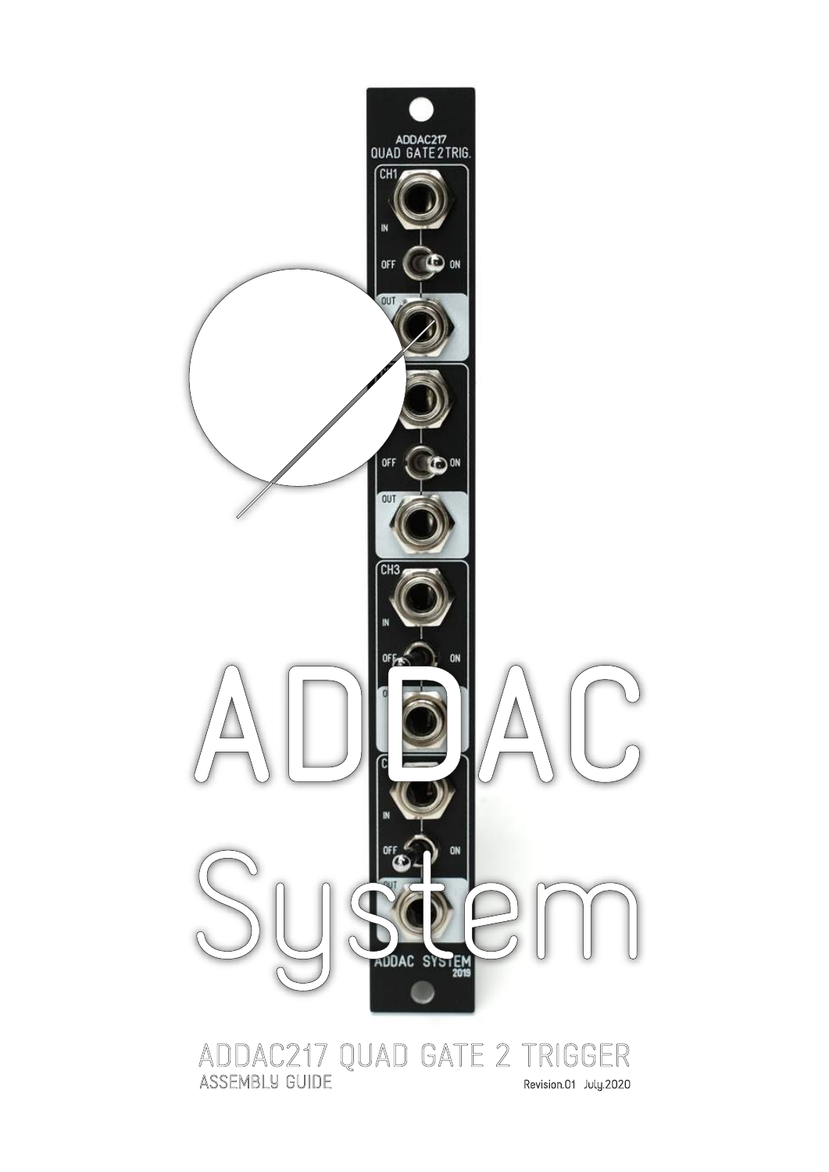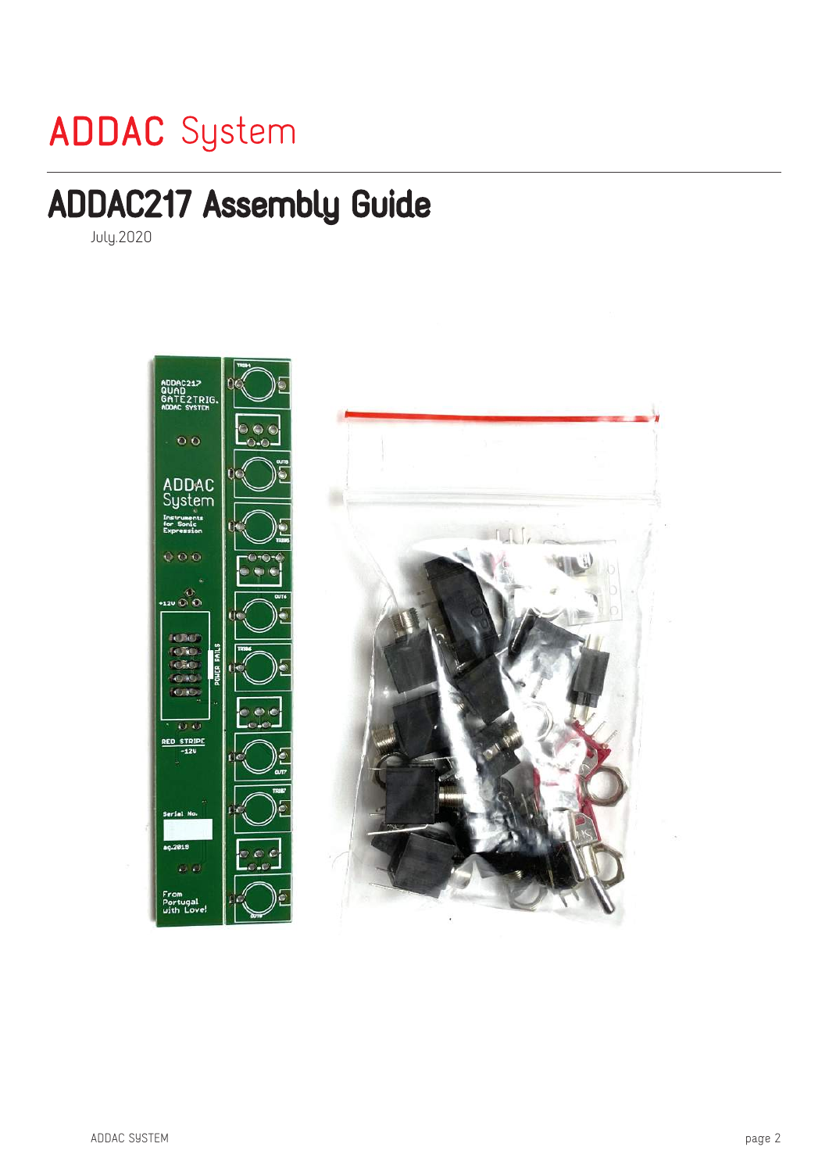# **ADDAC** System

# ADDAC217 Assembly Guide

July.2020



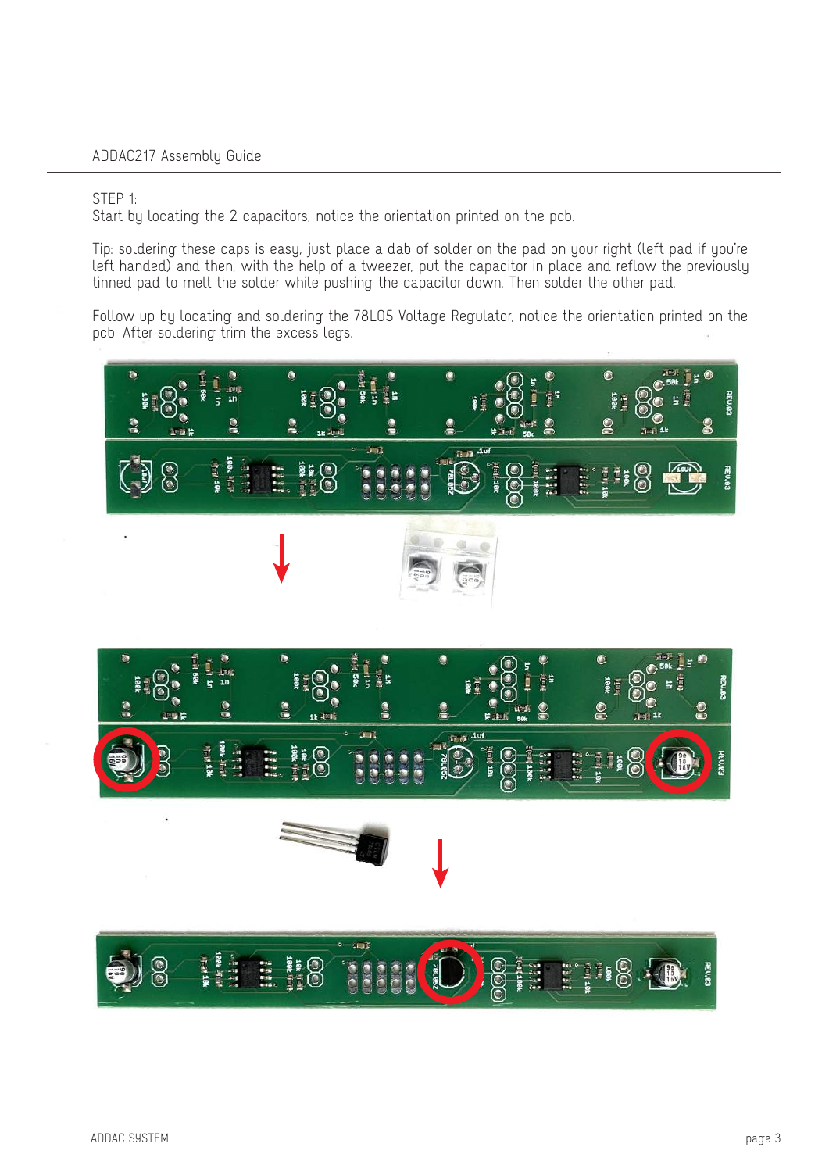#### STEP 1:

Start by locating the 2 capacitors, notice the orientation printed on the pcb.

Tip: soldering these caps is easy, just place a dab of solder on the pad on your right (left pad if you're left handed) and then, with the help of a tweezer, put the capacitor in place and reflow the previously tinned pad to melt the solder while pushing the capacitor down. Then solder the other pad.

Follow up by locating and soldering the 78L05 Voltage Regulator, notice the orientation printed on the pcb. After soldering trim the excess legs.









l,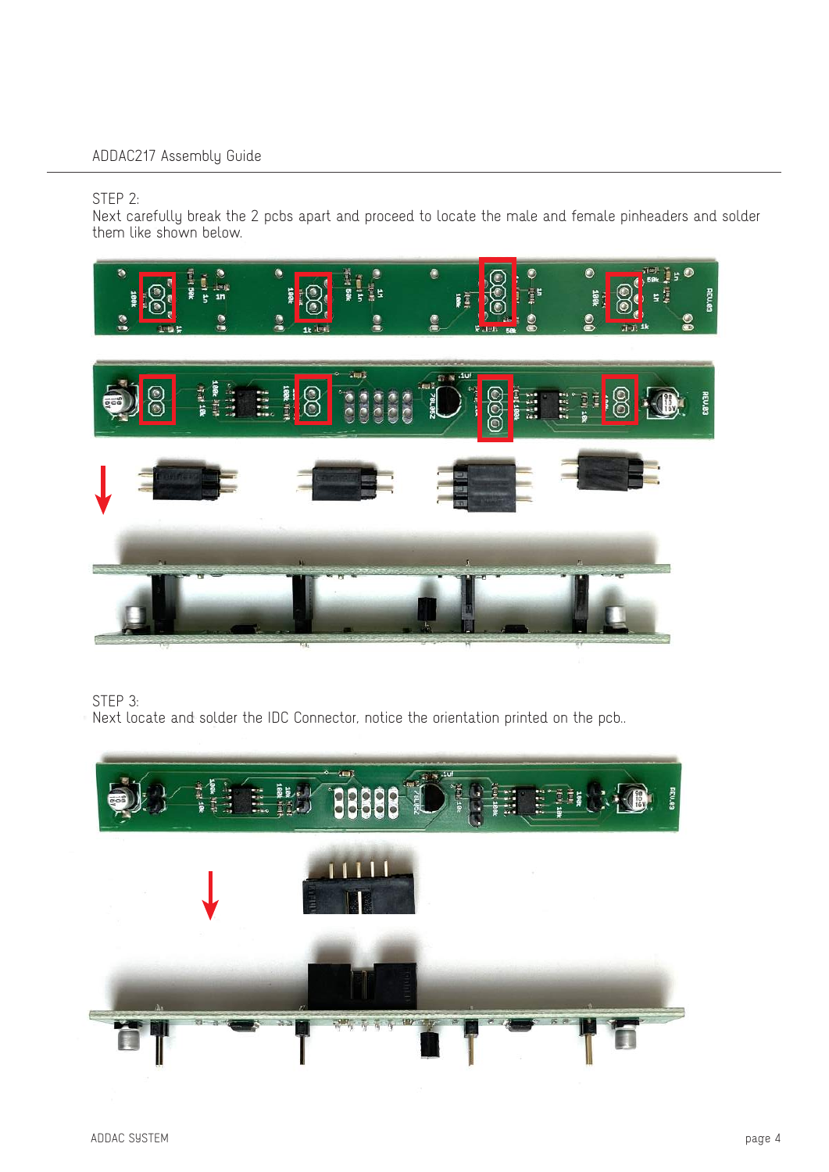#### STEP 2:

Next carefully break the 2 pcbs apart and proceed to locate the male and female pinheaders and solder them like shown below.



#### STEP 3:

Next locate and solder the IDC Connector, notice the orientation printed on the pcb..

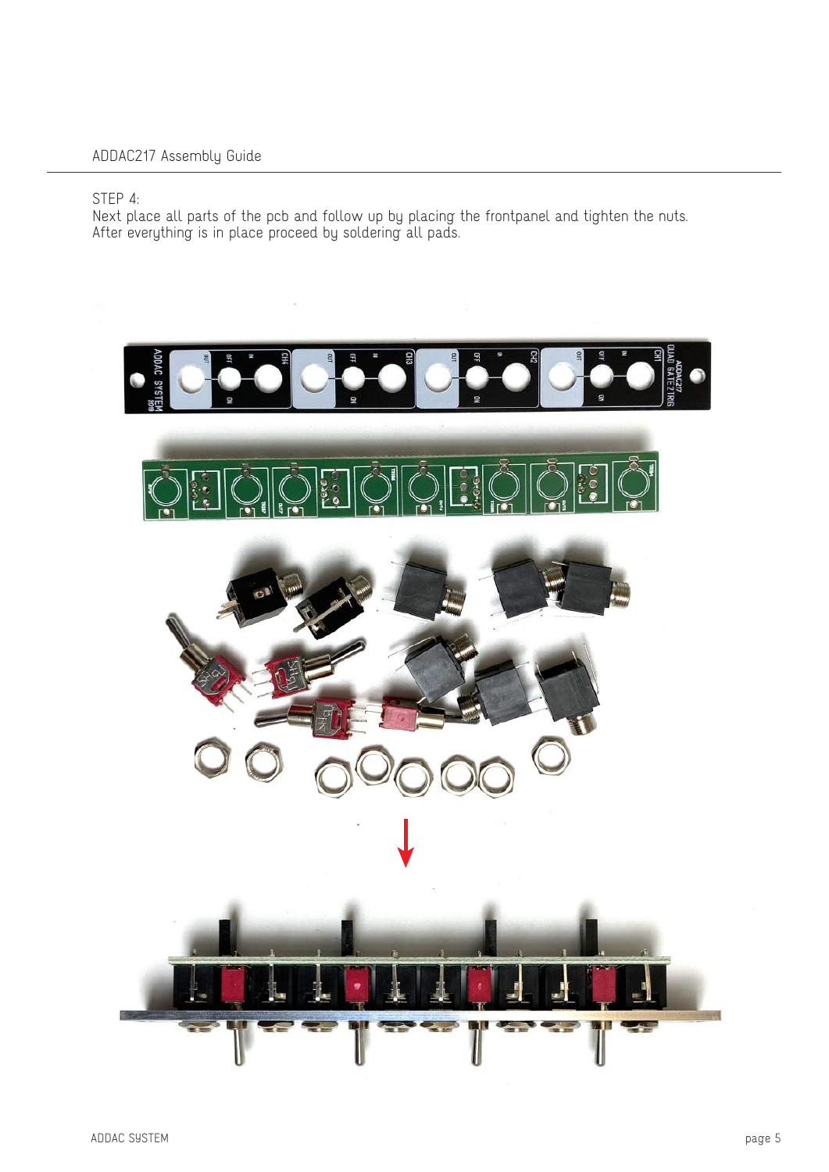#### STEP 4:

Next place all parts of the pcb and follow up by placing the frontpanel and tighten the nuts. After everything is in place proceed by soldering all pads.

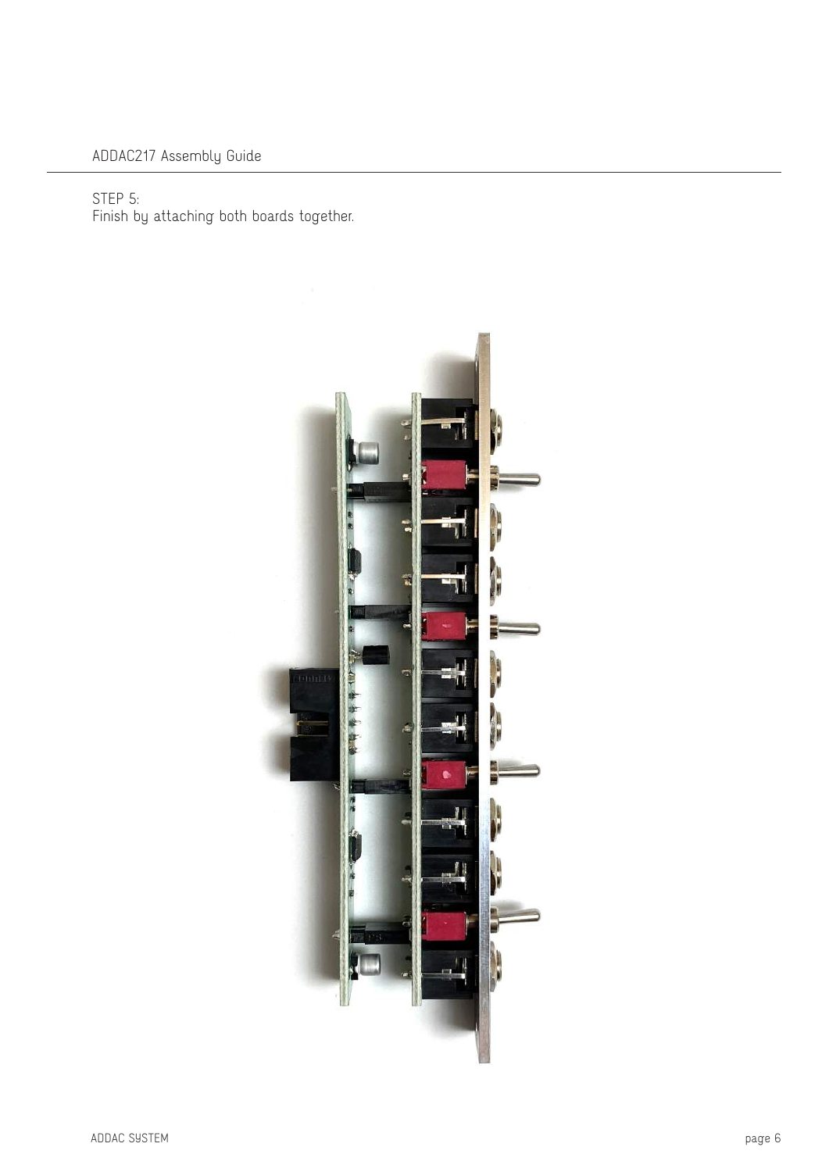### STEP 5: Finish by attaching both boards together.

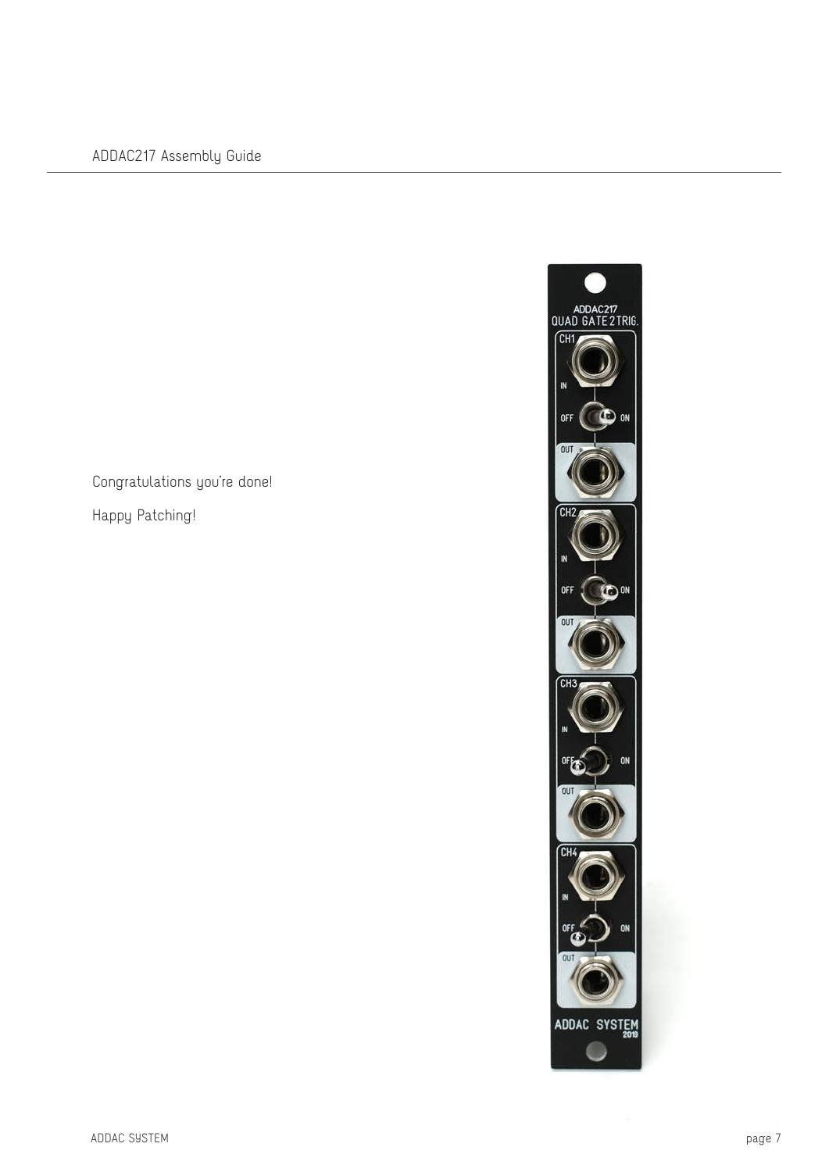Congratulations you're done!

Happy Patching!